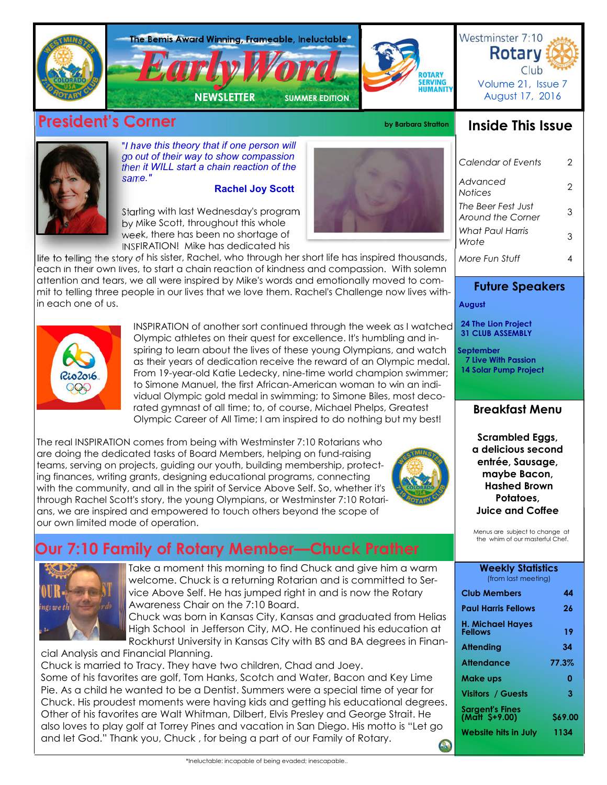

# **President's Corner by Barbara Stratton**



## **Inside This Issue**



"*I have this theory that if one person will go out of their way to show compassion then it WILL start a chain reaction of the same."*

#### **Rachel Joy Scott**

Starting with last Wednesday's program by Mike Scott, throughout this whole week, there has been no shortage of INSPIRATION! Mike has dedicated his

life to telling the story of his sister, Rachel, who through her short life has inspired thousands, each in their own lives, to start a chain reaction of kindness and compassion. With solemn attention and tears, we all were inspired by Mike's words and emotionally moved to commit to telling three people in our lives that we love them. Rachel's Challenge now lives within each one of us.



INSPIRATION of another sort continued through the week as I watched Olympic athletes on their quest for excellence. It's humbling and inspiring to learn about the lives of these young Olympians, and watch as their years of dedication receive the reward of an Olympic medal. From 19-year-old Katie Ledecky, nine-time world champion swimmer; to Simone Manuel, the first African-American woman to win an individual Olympic gold medal in swimming; to Simone Biles, most decorated gymnast of all time; to, of course, Michael Phelps, Greatest Olympic Career of All Time; I am inspired to do nothing but my best!

The real INSPIRATION comes from being with Westminster 7:10 Rotarians who are doing the dedicated tasks of Board Members, helping on fund-raising teams, serving on projects, guiding our youth, building membership, protecting finances, writing grants, designing educational programs, connecting with the community, and all in the spirit of Service Above Self. So, whether it's through Rachel Scott's story, the young Olympians, or Westminster 7:10 Rotarians, we are inspired and empowered to touch others beyond the scope of our own limited mode of operation.



# **Our 7:10 Family of Rotary Member—Chuck Prather**



Take a moment this morning to find Chuck and give him a warm welcome. Chuck is a returning Rotarian and is committed to Service Above Self. He has jumped right in and is now the Rotary Awareness Chair on the 7:10 Board.

Chuck was born in Kansas City, Kansas and graduated from Helias High School in Jefferson City, MO. He continued his education at Rockhurst University in Kansas City with BS and BA degrees in Finan-

cial Analysis and Financial Planning. Chuck is married to Tracy. They have two children, Chad and Joey. Some of his favorites are golf, Tom Hanks, Scotch and Water, Bacon and Key Lime Pie. As a child he wanted to be a Dentist. Summers were a special time of year for Chuck. His proudest moments were having kids and getting his educational degrees. Other of his favorites are Walt Whitman, Dilbert, Elvis Presley and George Strait. He also loves to play golf at Torrey Pines and vacation in San Diego. His motto is "Let go and let God." Thank you, Chuck , for being a part of our Family of Rotary.



*Calendar of Events* 2 *Advanced Notices* <sup>2</sup> *The Beer Fest Just Around the Corner* <sup>3</sup> *More Fun Stuff* 4 *What Paul Harris Wrote* <sup>3</sup>

## **Future Speakers**

 **August** 

 **24 The Lion Project 31 CLUB ASSEMBLY**

 **September 7 Live With Passion 14 Solar Pump Project**

## **Breakfast Menu**

**Scrambled Eggs, a delicious second entrée, Sausage, maybe Bacon, Hashed Brown Potatoes, Juice and Coffee**

Menus are subject to change at the whim of our masterful Chef.

| <b>Weekly Statistics</b><br>(from last meeting) |         |  |  |
|-------------------------------------------------|---------|--|--|
| <b>Club Members</b>                             | 44      |  |  |
| <b>Paul Harris Fellows</b>                      | 26      |  |  |
| H. Michael Hayes<br>Fellows                     | 19      |  |  |
| Attending                                       | 34      |  |  |
| <b>Attendance</b>                               | 77.3%   |  |  |
| Make ups                                        | ი       |  |  |
| <b>Visitors / Guests</b>                        | 3       |  |  |
| <b>Sargent's Fines</b><br>(Matt \$+9.00)        | \$69.00 |  |  |
| <b>Website hits in July</b>                     | 1134    |  |  |
|                                                 |         |  |  |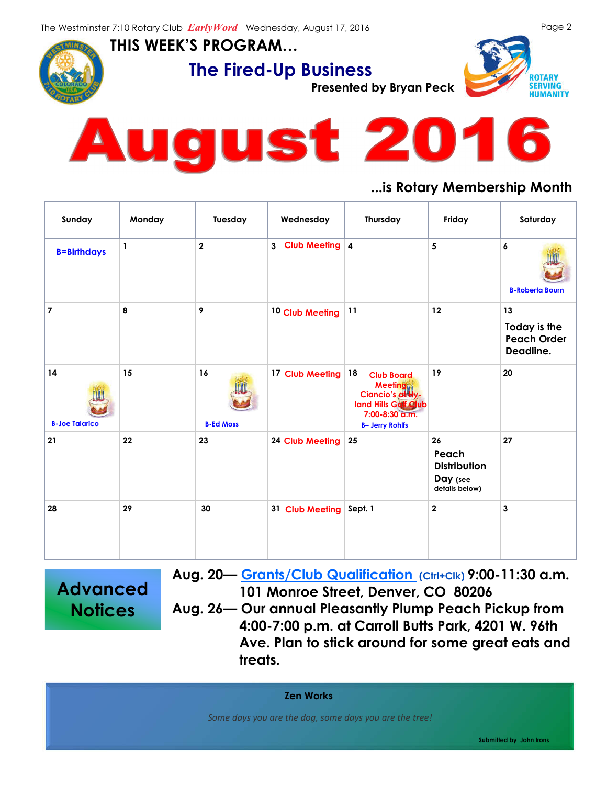

**THIS WEEK'S PROGRAM…**



**The Fired-Up Business**<br>Presented by Bryan Peck





## **...is Rotary Membership Month**

| Sunday                      | Monday | Tuesday                 | Wednesday                        | Thursday                                                                                                                          | Friday                                                           | Saturday                                              |
|-----------------------------|--------|-------------------------|----------------------------------|-----------------------------------------------------------------------------------------------------------------------------------|------------------------------------------------------------------|-------------------------------------------------------|
| <b>B=Birthdays</b>          | 1      | $\overline{\mathbf{2}}$ | Club Meeting 4<br>3 <sup>7</sup> |                                                                                                                                   | 5                                                                | 6<br><b>B-Roberta Bourn</b>                           |
| $\overline{7}$              | 8      | 9                       | 10 Club Meeting                  | 11                                                                                                                                | 12                                                               | 13<br>Today is the<br><b>Peach Order</b><br>Deadline. |
| 14<br><b>B-Joe Talarico</b> | 15     | 16<br><b>B-Ed Moss</b>  | 17 Club Meeting                  | 18<br><b>Club Board</b><br><b>Meeting</b><br>Ciancio's at Hy-<br>land Hills Galf Club<br>7:00-8:30 a.m.<br><b>B- Jerry Rohlfs</b> | 19                                                               | 20                                                    |
| 21                          | 22     | 23                      | 24 Club Meeting                  | 25                                                                                                                                | 26<br>Peach<br><b>Distribution</b><br>Day (see<br>details below) | 27                                                    |
| 28                          | 29     | 30                      | 31 Club Meeting                  | Sept. 1                                                                                                                           | $\mathbf{2}$                                                     | $\mathbf{3}$                                          |

**Advanced Notices**

**Aug. 20— Grants/Club Qualification (Ctrl+Clk) 9:00-11:30 a.m. 101 Monroe Street, Denver, CO 80206 Aug. 26— Our annual Pleasantly Plump Peach Pickup from 4:00-7:00 p.m. at Carroll Butts Park, 4201 W. 96th Ave. Plan to stick around for some great eats and treats.**

**Zen Works**

 *Some days you are the dog, some days you are the tree!*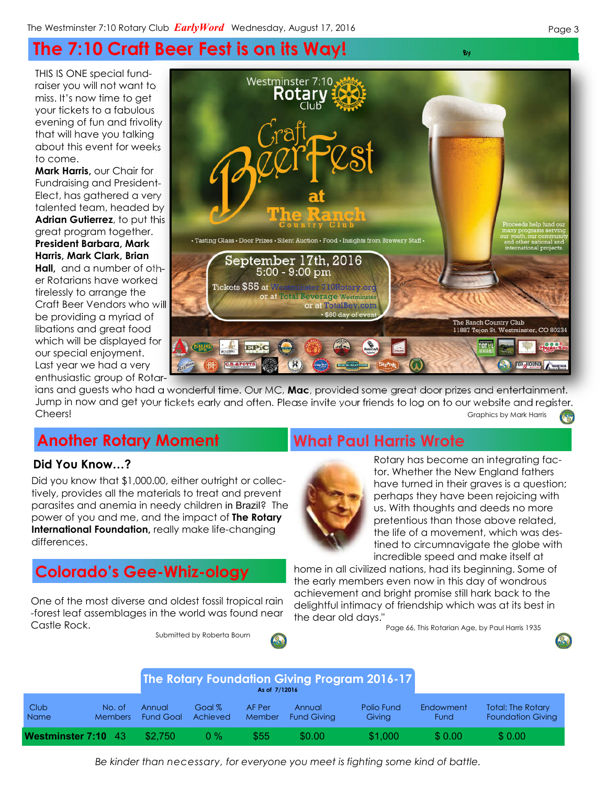# **The 7:10 Craft Beer Fest is on its Way! By**

THIS IS ONE special fundraiser you will not want to miss. It's now time to get your tickets to a fabulous evening of fun and frivolity that will have you talking about this event for weeks to come.

**Mark Harris,** our Chair for Fundraising and President-Elect, has gathered a very talented team, headed by **Adrian Gutierrez**, to put this great program together. **President Barbara, Mark Harris, Mark Clark, Brian Hall,** and a number of other Rotarians have worked tirelessly to arrange the Craft Beer Vendors who will be providing a myriad of libations and great food which will be displayed for our special enjoyment. Last year we had a very enthusiastic group of Rotar-



ians and guests who had a wonderful time. Our MC, **Mac**, provided some great door prizes and entertainment. Jump in now and get your tickets early and often. Please invite your friends to log on to our website and register. **Cheers!** Graphics by Mark Harris **Cheers!** Graphics by Mark Harris **Graphics by Mark Harris**  $\mathbf{r}_i$ 

# **Another Rotary Moment What Paul Harris Wrote**

### **Did You Know…?**

Did you know that \$1,000.00, either outright or collectively, provides all the materials to treat and prevent parasites and anemia in needy children in Brazil? The power of you and me, and the impact of **The Rotary International Foundation,** really make life-changing differences.

# **Colorado's Gee-Whiz-ology**

One of the most diverse and oldest fossil tropical rain -forest leaf assemblages in the world was found near Castle Rock.

Submitted by Roberta Bourn





Rotary has become an integrating factor. Whether the New England fathers have turned in their graves is a question; perhaps they have been rejoicing with us. With thoughts and deeds no more pretentious than those above related, the life of a movement, which was destined to circumnavigate the globe with incredible speed and make itself at

home in all civilized nations, had its beginning. Some of the early members even now in this day of wondrous achievement and bright promise still hark back to the delightful intimacy of friendship which was at its best in the dear old days."

Page 66, This Rotarian Age, by Paul Harris 1935



*Be kinder than necessary, for everyone you meet is fighting some kind of battle.*